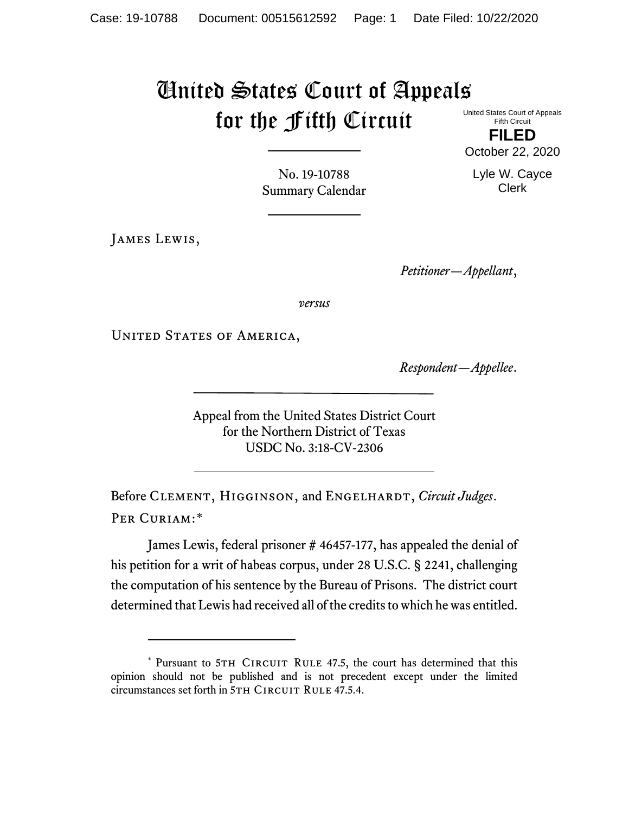## United States Court of Appeals for the Fifth Circuit United States Court of Appeals

Fifth Circuit **FILED**

October 22, 2020

Lyle W. Cayce Clerk

No. 19-10788 Summary Calendar

James Lewis,

*Petitioner—Appellant*,

*versus*

UNITED STATES OF AMERICA,

*Respondent—Appellee*.

Appeal from the United States District Court for the Northern District of Texas USDC No. 3:18-CV-2306

Before CLEMENT, HIGGINSON, and ENGELHARDT, *Circuit Judges*. Per Curiam:[\\*](#page-0-0)

James Lewis, federal prisoner # 46457-177, has appealed the denial of his petition for a writ of habeas corpus, under 28 U.S.C. § 2241, challenging the computation of his sentence by the Bureau of Prisons. The district court determined that Lewis had received all of the credits to which he was entitled.

<span id="page-0-0"></span><sup>\*</sup> Pursuant to 5TH CIRCUIT RULE 47.5, the court has determined that this opinion should not be published and is not precedent except under the limited circumstances set forth in 5TH CIRCUIT RULE 47.5.4.